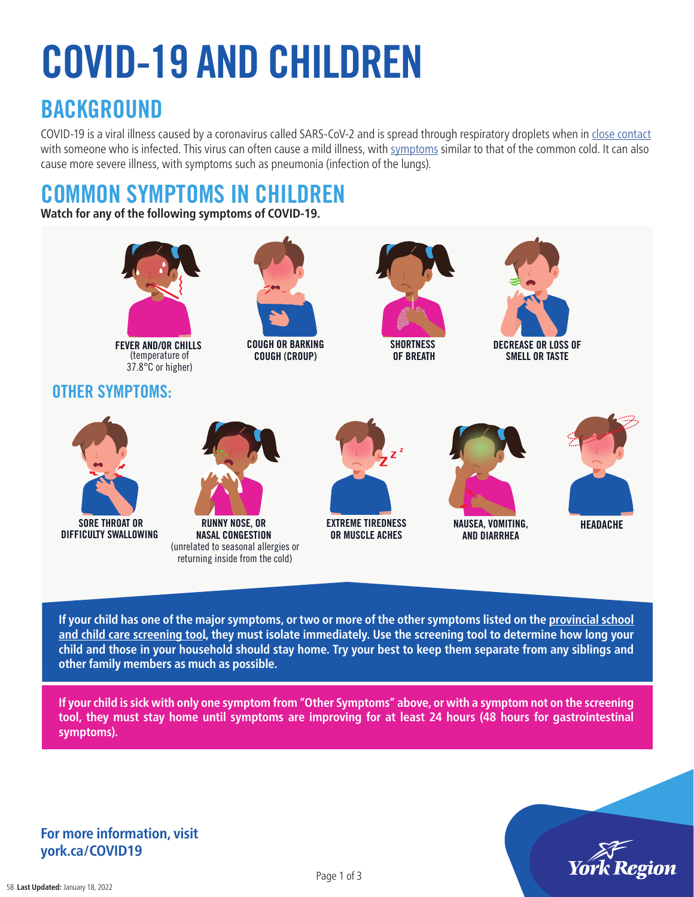# COVID-19 AND CHILDREN

### **BACKGROUND**

COVID-19 is a viral illness caused by a coronavirus called SARS-CoV-2 and is spread through respiratory droplets when in [close contact](https://www.york.ca/wps/wcm/connect/yorkpublic/5932d1c4-5ba6-46ce-aeb4-4c123f3dbb21/202032_41_+Contact_Tracing.pdf?MOD=AJPERES&CVID=n97Oe8I) with someone who is infected. This virus can often cause a mild illness, with [symptoms](https://www.york.ca/wps/portal/yorkhome/health/yr/covid-19/symptomstransmissiontreatmentandtesting/!ut/p/z1/tZJdU-IwGIV_ixdcdvImLSRcxi5LW6XgB1-9YWIbIS5JsY24_PsNjs7sjaij6UU66Zyct-fJQQVaoMKIvVoLq2ojtm6_LHqrlA_TJLmAbByxGDiMeUYog0Efo_mLAN55OKDiM-dPCIrT9jNUoGJXqgot7ysqMAgIaJeRIJJhFfRLCQFmAtgdBSnK6Kgujd3ZDVoemlVZGyuN7cChbv64TWuVfXr5sKm1dKsUW7vpQFnvVRXgfgfag97ZWre2EabVqm0dJ9tIYbU7JkxlpfMwa5R9FNyRJc0oHq3d7wu7CZS5r9HibRBafHaQ81EPj48Fd8GOaf5atPCabH5k-H-24Q2LIJ1llM_wGKI0fBUQEvUSHEMGyZhB-ptOur9YguGCvApOXOvS1YK-i--aoPleyWc0NXWjXU1vvtiC5G0CZTFP-BAmcDulcDWgEetdjiaX1_ibEz4I4Nk-9GpPwa898Wv_M3CyFGLMj_UPByFwksbsPMxYnvtln_tln_tln_vt_ey7cHZ6OtUs7G4fDiGoiY7v2GgQdtd6dfr1zM_O_gHoL_--/dz/d5/L2dBISEvZ0FBIS9nQSEh/#.Xt1hRZ5Kiu5) similar to that of the common cold. It can also cause more severe illness, with symptoms such as pneumonia (infection of the lungs).

### COMMON SYMPTOMS IN CHILDREN

**Watch for any of the following symptoms of COVID-19.**



**If your child has one of the major symptoms, or two or more of the other symptoms listed on the [provincial school](https://covid-19.ontario.ca/school-screening/ ) [and child care screening tool](https://covid-19.ontario.ca/school-screening/ ), they must isolate immediately. Use the screening tool to determine how long your child and those in your household should stay home. Try your best to keep them separate from any siblings and other family members as much as possible.** 

**If your child is sick with only one symptom from "Other Symptoms" above, or with a symptom not on the screening tool, they must stay home until symptoms are improving for at least 24 hours (48 hours for gastrointestinal symptoms).**



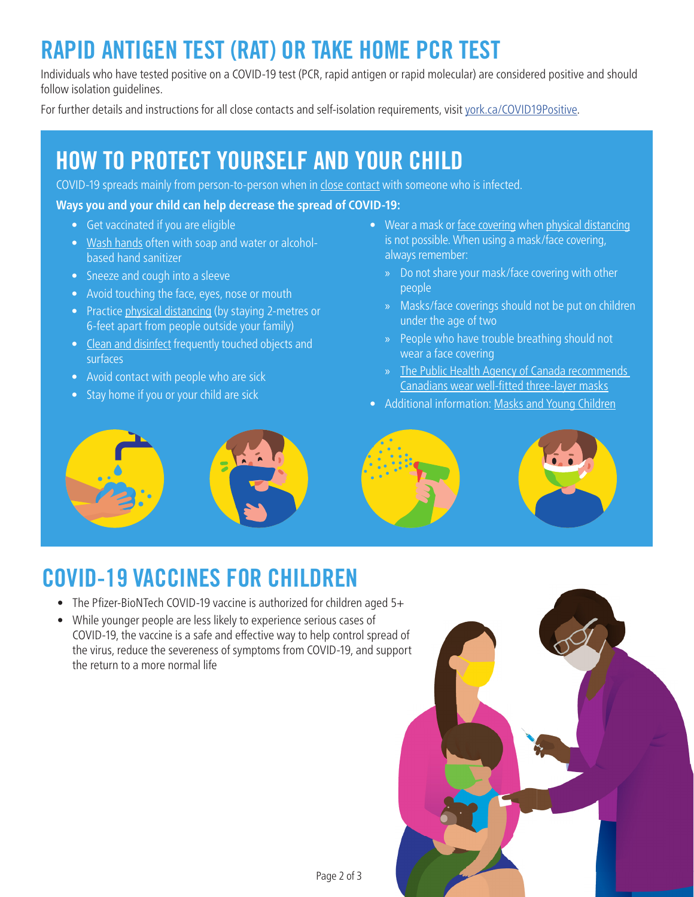# RAPID ANTIGEN TEST (RAT) OR TAKE HOME PCR TEST

Individuals who have tested positive on a COVID-19 test (PCR, rapid antigen or rapid molecular) are considered positive and should follow isolation quidelines.

For further details and instructions for all close contacts and self-isolation requirements, visit [york.ca/COVID19Positive](http://york.ca/COVID19Positive).

### HOW TO PROTECT YOURSELF AND YOUR CHILD

COVID-19 spreads mainly from person-to-person when in [close contact](https://www.york.ca/wps/wcm/connect/yorkpublic/5932d1c4-5ba6-46ce-aeb4-4c123f3dbb21/202032_41_+Contact_Tracing.pdf?MOD=AJPERES&CVID=n97Oe8I) with someone who is infected.

#### **Ways you and your child can help decrease the spread of COVID-19:**

- Get vaccinated if you are eligible
- [Wash hands](https://www.york.ca/wps/wcm/connect/yorkpublic/5c88e81a-8f37-43c3-be9e-1f6f248cc1cd/Handwashing_Kids_Posters.pdf?MOD=AJPERES&CVID=muk-tBb) often with soap and water or alcoholbased hand sanitizer
- Sneeze and cough into a sleeve
- Avoid touching the face, eyes, nose or mouth
- Practice [physical distancing](https://www.york.ca/wps/wcm/connect/yorkpublic/8b46e61b-af4d-4787-a77b-4100b75df288/202032-03b_Practicing%2BSocial%2BDistancing_8-5x11.pdf?MOD=AJPERES&CVID=n5svRxd) (by staying 2-metres or 6-feet apart from people outside your family)
- [Clean and disinfect](https://www.publichealthontario.ca/-/media/documents/ncov/factsheet-covid-19-environmental-cleaning.pdf?la=en) frequently touched objects and surfaces
- Avoid contact with people who are sick
- Stay home if you or your child are sick
- Wear a mask or [face covering](https://www.york.ca/wps/wcm/connect/yorkpublic/ee9868ec-9778-49d4-bbdd-0fe9ab893feb/202032_47_+How+to+Wear+a+Mask.pdf?MOD=AJPERES&CACHEID=ROOTWORKSPACE.Z18_29D41BG0PGOC70QQGGJK4I0004-ee9868ec-9778-49d4-bbdd-0fe9ab893feb-n98JKqP) when [physical distancing](https://www.york.ca/wps/wcm/connect/yorkpublic/8b46e61b-af4d-4787-a77b-4100b75df288/202032-03b_Practicing%2BSocial%2BDistancing_8-5x11.pdf?MOD=AJPERES&CVID=n5svRxd) is not possible. When using a mask[/face covering,](https://www.york.ca/wps/wcm/connect/yorkpublic/ee9868ec-9778-49d4-bbdd-0fe9ab893feb/202032_47_+How+to+Wear+a+Mask.pdf?MOD=AJPERES&CACHEID=ROOTWORKSPACE.Z18_29D41BG0PGOC70QQGGJK4I0004-ee9868ec-9778-49d4-bbdd-0fe9ab893feb-n98JKqP) always remember:
	- » Do not share your mask/face covering with other people
	- » Masks[/face coverings](https://www.york.ca/wps/wcm/connect/yorkpublic/ee9868ec-9778-49d4-bbdd-0fe9ab893feb/202032_47_+How+to+Wear+a+Mask.pdf?MOD=AJPERES&CACHEID=ROOTWORKSPACE.Z18_29D41BG0PGOC70QQGGJK4I0004-ee9868ec-9778-49d4-bbdd-0fe9ab893feb-n98JKqP) should not be put on children under the age of two
	- » People who have trouble breathing should not wear a [face covering](https://www.york.ca/wps/wcm/connect/yorkpublic/ee9868ec-9778-49d4-bbdd-0fe9ab893feb/202032_47_+How+to+Wear+a+Mask.pdf?MOD=AJPERES&CACHEID=ROOTWORKSPACE.Z18_29D41BG0PGOC70QQGGJK4I0004-ee9868ec-9778-49d4-bbdd-0fe9ab893feb-n98JKqP)
	- » [The Public Health Agency of Canada recommends](https://www.canada.ca/en/public-health/services/publications/diseases-conditions/covid-19-safely-use-non-medical-mask-face-covering.html)  [Canadians wear well-fitted three-layer masks](https://www.canada.ca/en/public-health/services/publications/diseases-conditions/covid-19-safely-use-non-medical-mask-face-covering.html)
- Additional information: [Masks and Young Children](https://www.york.ca/wps/wcm/connect/yorkpublic/22d78cb0-1aa4-4500-aaaa-a5b1694765ad/100_Masks+and+Young+Children-Jan26.pdf?MOD=AJPERES&CVID=nt45fSa))



# COVID-19 VACCINES FOR CHILDREN

- The Pfizer-BioNTech COVID-19 vaccine is authorized for children aged 5+
- While younger people are less likely to experience serious cases of COVID-19, the vaccine is a safe and effective way to help control spread of the virus, reduce the severeness of symptoms from COVID-19, and support the return to a more normal life